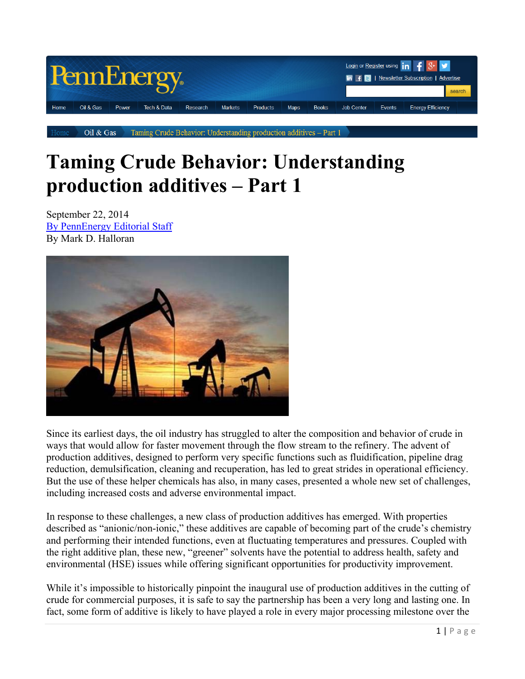

Oil & Gas Taming Crude Behavior: Understanding production additives - Part 1

# **Taming Crude Behavior: Understanding production additives – Part 1**

September 22, 2014 By PennEnergy Editorial Staff By Mark D. Halloran



Since its earliest days, the oil industry has struggled to alter the composition and behavior of crude in ways that would allow for faster movement through the flow stream to the refinery. The advent of production additives, designed to perform very specific functions such as fluidification, pipeline drag reduction, demulsification, cleaning and recuperation, has led to great strides in operational efficiency. But the use of these helper chemicals has also, in many cases, presented a whole new set of challenges, including increased costs and adverse environmental impact.

In response to these challenges, a new class of production additives has emerged. With properties described as "anionic/non-ionic," these additives are capable of becoming part of the crude's chemistry and performing their intended functions, even at fluctuating temperatures and pressures. Coupled with the right additive plan, these new, "greener" solvents have the potential to address health, safety and environmental (HSE) issues while offering significant opportunities for productivity improvement.

While it's impossible to historically pinpoint the inaugural use of production additives in the cutting of crude for commercial purposes, it is safe to say the partnership has been a very long and lasting one. In fact, some form of additive is likely to have played a role in every major processing milestone over the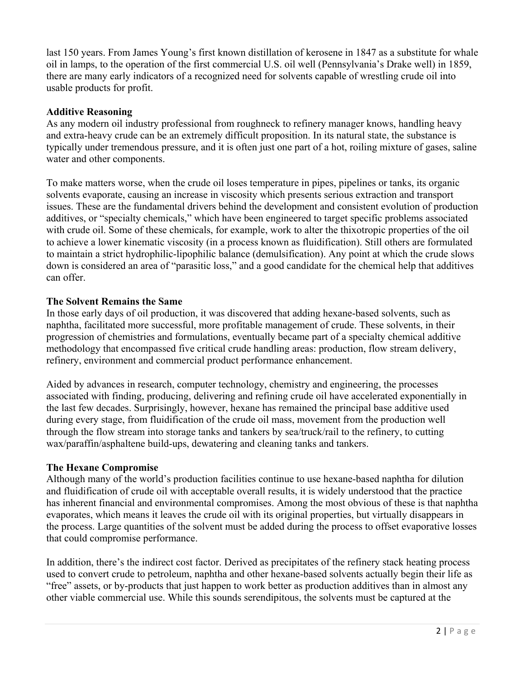last 150 years. From James Young's first known distillation of kerosene in 1847 as a substitute for whale oil in lamps, to the operation of the first commercial U.S. oil well (Pennsylvania's Drake well) in 1859, there are many early indicators of a recognized need for solvents capable of wrestling crude oil into usable products for profit.

#### **Additive Reasoning**

As any modern oil industry professional from roughneck to refinery manager knows, handling heavy and extra-heavy crude can be an extremely difficult proposition. In its natural state, the substance is typically under tremendous pressure, and it is often just one part of a hot, roiling mixture of gases, saline water and other components.

To make matters worse, when the crude oil loses temperature in pipes, pipelines or tanks, its organic solvents evaporate, causing an increase in viscosity which presents serious extraction and transport issues. These are the fundamental drivers behind the development and consistent evolution of production additives, or "specialty chemicals," which have been engineered to target specific problems associated with crude oil. Some of these chemicals, for example, work to alter the thixotropic properties of the oil to achieve a lower kinematic viscosity (in a process known as fluidification). Still others are formulated to maintain a strict hydrophilic-lipophilic balance (demulsification). Any point at which the crude slows down is considered an area of "parasitic loss," and a good candidate for the chemical help that additives can offer.

#### **The Solvent Remains the Same**

In those early days of oil production, it was discovered that adding hexane-based solvents, such as naphtha, facilitated more successful, more profitable management of crude. These solvents, in their progression of chemistries and formulations, eventually became part of a specialty chemical additive methodology that encompassed five critical crude handling areas: production, flow stream delivery, refinery, environment and commercial product performance enhancement.

Aided by advances in research, computer technology, chemistry and engineering, the processes associated with finding, producing, delivering and refining crude oil have accelerated exponentially in the last few decades. Surprisingly, however, hexane has remained the principal base additive used during every stage, from fluidification of the crude oil mass, movement from the production well through the flow stream into storage tanks and tankers by sea/truck/rail to the refinery, to cutting wax/paraffin/asphaltene build-ups, dewatering and cleaning tanks and tankers.

#### **The Hexane Compromise**

Although many of the world's production facilities continue to use hexane-based naphtha for dilution and fluidification of crude oil with acceptable overall results, it is widely understood that the practice has inherent financial and environmental compromises. Among the most obvious of these is that naphtha evaporates, which means it leaves the crude oil with its original properties, but virtually disappears in the process. Large quantities of the solvent must be added during the process to offset evaporative losses that could compromise performance.

In addition, there's the indirect cost factor. Derived as precipitates of the refinery stack heating process used to convert crude to petroleum, naphtha and other hexane-based solvents actually begin their life as "free" assets, or by-products that just happen to work better as production additives than in almost any other viable commercial use. While this sounds serendipitous, the solvents must be captured at the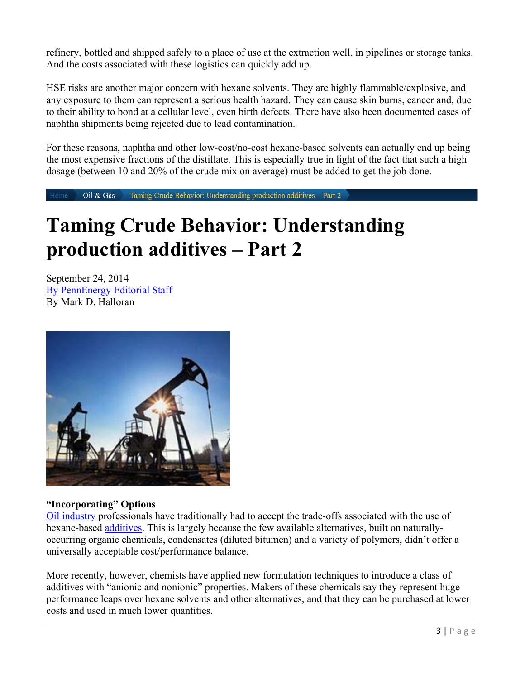refinery, bottled and shipped safely to a place of use at the extraction well, in pipelines or storage tanks. And the costs associated with these logistics can quickly add up.

HSE risks are another major concern with hexane solvents. They are highly flammable/explosive, and any exposure to them can represent a serious health hazard. They can cause skin burns, cancer and, due to their ability to bond at a cellular level, even birth defects. There have also been documented cases of naphtha shipments being rejected due to lead contamination.

For these reasons, naphtha and other low-cost/no-cost hexane-based solvents can actually end up being the most expensive fractions of the distillate. This is especially true in light of the fact that such a high dosage (between 10 and 20% of the crude mix on average) must be added to get the job done.

Taming Crude Behavior: Understanding production additives - Part 2 Oil & Gas Home

# **Taming Crude Behavior: Understanding production additives – Part 2**

September 24, 2014 By PennEnergy Editorial Staff By Mark D. Halloran



### **"Incorporating" Options**

Oil industry professionals have traditionally had to accept the trade-offs associated with the use of hexane-based additives. This is largely because the few available alternatives, built on naturallyoccurring organic chemicals, condensates (diluted bitumen) and a variety of polymers, didn't offer a universally acceptable cost/performance balance.

More recently, however, chemists have applied new formulation techniques to introduce a class of additives with "anionic and nonionic" properties. Makers of these chemicals say they represent huge performance leaps over hexane solvents and other alternatives, and that they can be purchased at lower costs and used in much lower quantities.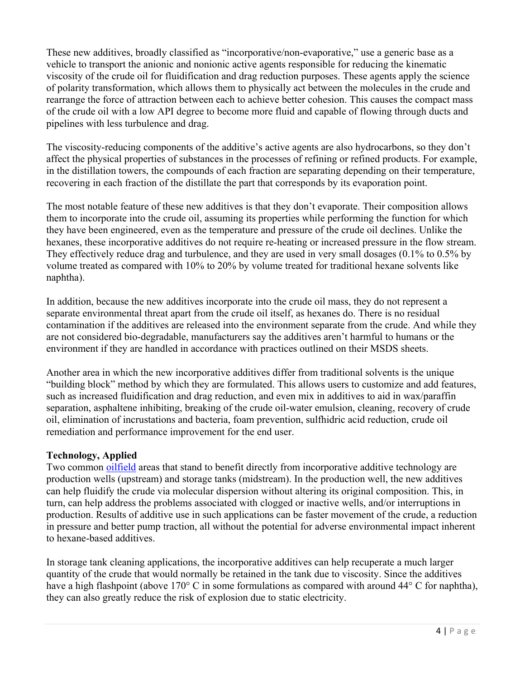These new additives, broadly classified as "incorporative/non-evaporative," use a generic base as a vehicle to transport the anionic and nonionic active agents responsible for reducing the kinematic viscosity of the crude oil for fluidification and drag reduction purposes. These agents apply the science of polarity transformation, which allows them to physically act between the molecules in the crude and rearrange the force of attraction between each to achieve better cohesion. This causes the compact mass of the crude oil with a low API degree to become more fluid and capable of flowing through ducts and pipelines with less turbulence and drag.

The viscosity-reducing components of the additive's active agents are also hydrocarbons, so they don't affect the physical properties of substances in the processes of refining or refined products. For example, in the distillation towers, the compounds of each fraction are separating depending on their temperature, recovering in each fraction of the distillate the part that corresponds by its evaporation point.

The most notable feature of these new additives is that they don't evaporate. Their composition allows them to incorporate into the crude oil, assuming its properties while performing the function for which they have been engineered, even as the temperature and pressure of the crude oil declines. Unlike the hexanes, these incorporative additives do not require re-heating or increased pressure in the flow stream. They effectively reduce drag and turbulence, and they are used in very small dosages (0.1% to 0.5% by volume treated as compared with 10% to 20% by volume treated for traditional hexane solvents like naphtha).

In addition, because the new additives incorporate into the crude oil mass, they do not represent a separate environmental threat apart from the crude oil itself, as hexanes do. There is no residual contamination if the additives are released into the environment separate from the crude. And while they are not considered bio-degradable, manufacturers say the additives aren't harmful to humans or the environment if they are handled in accordance with practices outlined on their MSDS sheets.

Another area in which the new incorporative additives differ from traditional solvents is the unique "building block" method by which they are formulated. This allows users to customize and add features, such as increased fluidification and drag reduction, and even mix in additives to aid in wax/paraffin separation, asphaltene inhibiting, breaking of the crude oil-water emulsion, cleaning, recovery of crude oil, elimination of incrustations and bacteria, foam prevention, sulfhidric acid reduction, crude oil remediation and performance improvement for the end user.

### **Technology, Applied**

Two common oilfield areas that stand to benefit directly from incorporative additive technology are production wells (upstream) and storage tanks (midstream). In the production well, the new additives can help fluidify the crude via molecular dispersion without altering its original composition. This, in turn, can help address the problems associated with clogged or inactive wells, and/or interruptions in production. Results of additive use in such applications can be faster movement of the crude, a reduction in pressure and better pump traction, all without the potential for adverse environmental impact inherent to hexane-based additives.

In storage tank cleaning applications, the incorporative additives can help recuperate a much larger quantity of the crude that would normally be retained in the tank due to viscosity. Since the additives have a high flashpoint (above 170° C in some formulations as compared with around 44° C for naphtha), they can also greatly reduce the risk of explosion due to static electricity.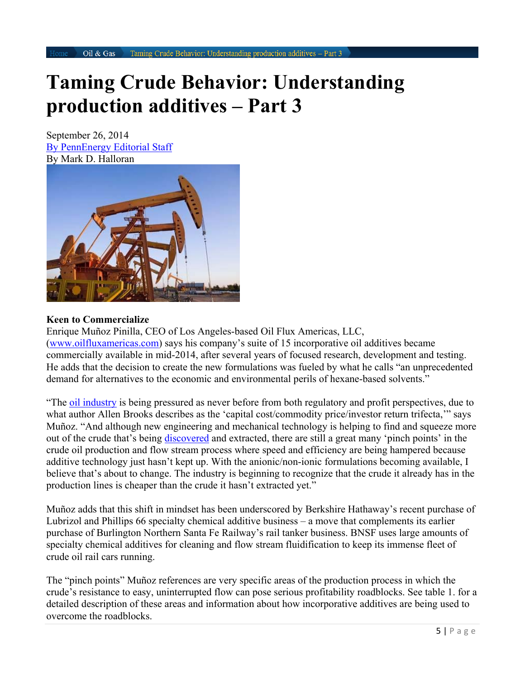### **Taming Crude Behavior: Understanding production additives – Part 3**

September 26, 2014 By PennEnergy Editorial Staff By Mark D. Halloran



#### **Keen to Commercialize**

Enrique Muñoz Pinilla, CEO of Los Angeles-based Oil Flux Americas, LLC, (www.oilfluxamericas.com) says his company's suite of 15 incorporative oil additives became commercially available in mid-2014, after several years of focused research, development and testing. He adds that the decision to create the new formulations was fueled by what he calls "an unprecedented demand for alternatives to the economic and environmental perils of hexane-based solvents."

"The oil industry is being pressured as never before from both regulatory and profit perspectives, due to what author Allen Brooks describes as the 'capital cost/commodity price/investor return trifecta,'" says Muñoz. "And although new engineering and mechanical technology is helping to find and squeeze more out of the crude that's being discovered and extracted, there are still a great many 'pinch points' in the crude oil production and flow stream process where speed and efficiency are being hampered because additive technology just hasn't kept up. With the anionic/non-ionic formulations becoming available, I believe that's about to change. The industry is beginning to recognize that the crude it already has in the production lines is cheaper than the crude it hasn't extracted yet."

Muñoz adds that this shift in mindset has been underscored by Berkshire Hathaway's recent purchase of Lubrizol and Phillips 66 specialty chemical additive business – a move that complements its earlier purchase of Burlington Northern Santa Fe Railway's rail tanker business. BNSF uses large amounts of specialty chemical additives for cleaning and flow stream fluidification to keep its immense fleet of crude oil rail cars running.

The "pinch points" Muñoz references are very specific areas of the production process in which the crude's resistance to easy, uninterrupted flow can pose serious profitability roadblocks. See table 1. for a detailed description of these areas and information about how incorporative additives are being used to overcome the roadblocks.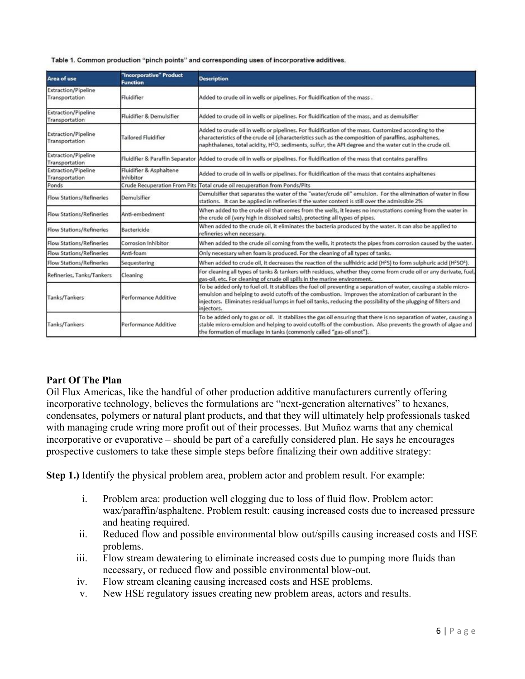Table 1. Common production "pinch points" and corresponding uses of incorporative additives.

| <b>Area of use</b>                           | "Incorporative" Product<br><b>Function</b> | <b>Description</b>                                                                                                                                                                                                                                                                                                                                           |
|----------------------------------------------|--------------------------------------------|--------------------------------------------------------------------------------------------------------------------------------------------------------------------------------------------------------------------------------------------------------------------------------------------------------------------------------------------------------------|
| <b>Extraction/Pipeline</b><br>Transportation | Fluidifier                                 | Added to crude oil in wells or pipelines. For fluidification of the mass.                                                                                                                                                                                                                                                                                    |
| <b>Extraction/Pipeline</b><br>Transportation | Fluidifier & Demulsifier                   | Added to crude oil in wells or pipelines. For fluidification of the mass, and as demulsifier                                                                                                                                                                                                                                                                 |
| <b>Extraction/Pipeline</b><br>Transportation | <b>Tailored Fluidifier</b>                 | Added to crude oil in wells or pipelines. For fluidification of the mass. Customized according to the<br>characteristics of the crude oil (characteristics such as the composition of paraffins, asphaltenes,<br>naphthalenes, total acidity, H <sup>2</sup> O, sediments, sulfur, the API degree and the water cut in the crude oil.                        |
| <b>Extraction/Pipeline</b><br>Transportation | Fluidifier & Paraffin Separator            | Added to crude oil in wells or pipelines. For fluidification of the mass that contains paraffins                                                                                                                                                                                                                                                             |
| <b>Extraction/Pipeline</b><br>Transportation | Fluidifier & Asphaltene<br>Inhibitor       | Added to crude oil in wells or pipelines. For fluidification of the mass that contains asphaltenes                                                                                                                                                                                                                                                           |
| Ponds                                        | <b>Crude Recuperation From Pits</b>        | Total crude oil recuperation from Ponds/Pits                                                                                                                                                                                                                                                                                                                 |
| <b>Flow Stations/Refineries</b>              | Demulsifier                                | Demulsifier that separates the water of the "water/crude oil" emulsion. For the elimination of water in flow<br>stations. It can be applied in refineries if the water content is still over the admissible 2%                                                                                                                                               |
| <b>Flow Stations/Refineries</b>              | Anti-embedment                             | When added to the crude oil that comes from the wells, it leaves no incrustations coming from the water in<br>the crude oil (very high in dissolved salts), protecting all types of pipes.                                                                                                                                                                   |
| <b>Flow Stations/Refineries</b>              | Bactericide                                | When added to the crude oil, it eliminates the bacteria produced by the water. It can also be applied to<br>refineries when necessary.                                                                                                                                                                                                                       |
| Flow Stations/Refineries                     | Corrosion Inhibitor                        | When added to the crude oil coming from the wells, it protects the pipes from corrosion caused by the water.                                                                                                                                                                                                                                                 |
| <b>Flow Stations/Refineries</b>              | Anti-foam                                  | Only necessary when foam is produced. For the cleaning of all types of tanks.                                                                                                                                                                                                                                                                                |
| <b>Flow Stations/Refineries</b>              | Sequestering                               | When added to crude oil, it decreases the reaction of the sulfhidric acid (H <sup>2</sup> S) to form sulphuric acid (H <sup>2</sup> SO <sup>4</sup> ).                                                                                                                                                                                                       |
| Refineries, Tanks/Tankers                    | Cleaning                                   | For cleaning all types of tanks & tankers with residues, whether they come from crude oil or any derivate, fuel,<br>gas-oil, etc. For cleaning of crude oil spills in the marine environment.                                                                                                                                                                |
| Tanks/Tankers                                | Performance Additive                       | To be added only to fuel oil. It stabilizes the fuel oil preventing a separation of water, causing a stable micro-<br>emulsion and helping to avoid cutoffs of the combustion. Improves the atomization of carburant in the<br>injectors. Eliminates residual lumps in fuel oil tanks, reducing the possibility of the plugging of filters and<br>injectors. |
| Tanks/Tankers                                | Performance Additive                       | To be added only to gas or oil. It stabilizes the gas oil ensuring that there is no separation of water, causing a<br>stable micro-emulsion and helping to avoid cutoffs of the combustion. Also prevents the growth of algae and<br>the formation of mucilage in tanks (commonly called "gas-oil snot").                                                    |

### **Part Of The Plan**

Oil Flux Americas, like the handful of other production additive manufacturers currently offering incorporative technology, believes the formulations are "next-generation alternatives" to hexanes, condensates, polymers or natural plant products, and that they will ultimately help professionals tasked with managing crude wring more profit out of their processes. But Muñoz warns that any chemical – incorporative or evaporative – should be part of a carefully considered plan. He says he encourages prospective customers to take these simple steps before finalizing their own additive strategy:

**Step 1.)** Identify the physical problem area, problem actor and problem result. For example:

- i. Problem area: production well clogging due to loss of fluid flow. Problem actor: wax/paraffin/asphaltene. Problem result: causing increased costs due to increased pressure and heating required.
- ii. Reduced flow and possible environmental blow out/spills causing increased costs and HSE problems.
- iii. Flow stream dewatering to eliminate increased costs due to pumping more fluids than necessary, or reduced flow and possible environmental blow-out.
- iv. Flow stream cleaning causing increased costs and HSE problems.
- v. New HSE regulatory issues creating new problem areas, actors and results.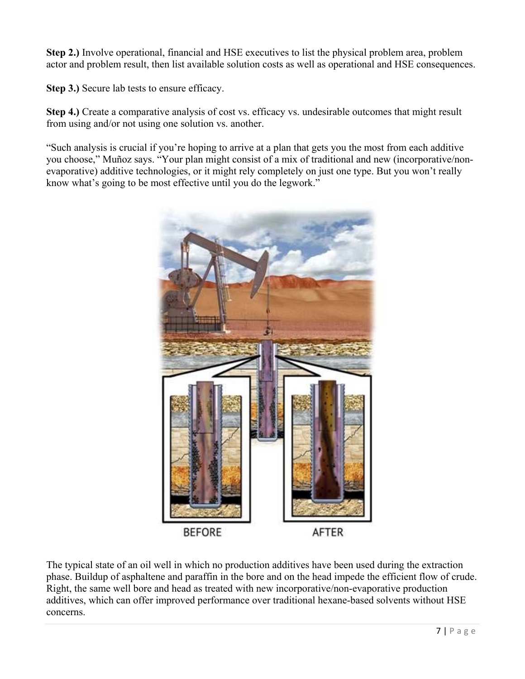**Step 2.)** Involve operational, financial and HSE executives to list the physical problem area, problem actor and problem result, then list available solution costs as well as operational and HSE consequences.

**Step 3.)** Secure lab tests to ensure efficacy.

**Step 4.)** Create a comparative analysis of cost vs. efficacy vs. undesirable outcomes that might result from using and/or not using one solution vs. another.

"Such analysis is crucial if you're hoping to arrive at a plan that gets you the most from each additive you choose," Muñoz says. "Your plan might consist of a mix of traditional and new (incorporative/nonevaporative) additive technologies, or it might rely completely on just one type. But you won't really know what's going to be most effective until you do the legwork."



The typical state of an oil well in which no production additives have been used during the extraction phase. Buildup of asphaltene and paraffin in the bore and on the head impede the efficient flow of crude. Right, the same well bore and head as treated with new incorporative/non-evaporative production additives, which can offer improved performance over traditional hexane-based solvents without HSE concerns.